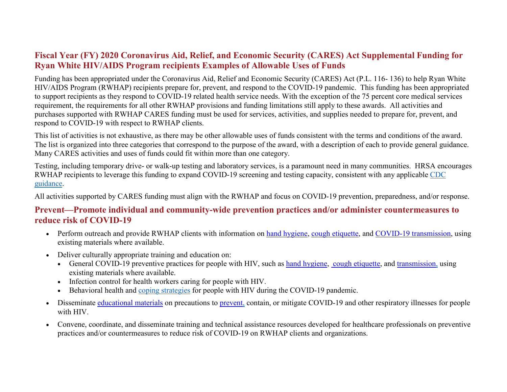## **Fiscal Year (FY) 2020 Coronavirus Aid, Relief, and Economic Security (CARES) Act Supplemental Funding for Ryan White HIV/AIDS Program recipients Examples of Allowable Uses of Funds**

 Funding has been appropriated under the Coronavirus Aid, Relief and Economic Security (CARES) Act (P.L. 116- 136) to help Ryan White HIV/AIDS Program (RWHAP) recipients prepare for, prevent, and respond to the COVID-19 pandemic. This funding has been appropriated to support recipients as they respond to COVID-19 related health service needs. With the exception of the 75 percent core medical services requirement, the requirements for all other RWHAP provisions and funding limitations still apply to these awards. All activities and purchases supported with RWHAP CARES funding must be used for services, activities, and supplies needed to prepare for, prevent, and respond to COVID-19 with respect to RWHAP clients.

 Many CARES activities and uses of funds could fit within more than one category. This list of activities is not exhaustive, as there may be other allowable uses of funds consistent with the terms and conditions of the award. The list is organized into three categories that correspond to the purpose of the award, with a description of each to provide general guidance.

Testing, including temporary drive- or walk-up testing and laboratory services, is a paramount need in many communities. HRSA encourages RWHAP recipients to leverage this funding to expand COVID-19 screening and testing capacity, consistent with any applicable [CDC](https://www.cdc.gov/coronavirus/2019-nCoV/hcp/clinical-criteria.html)  [guidance.](https://www.cdc.gov/coronavirus/2019-nCoV/hcp/clinical-criteria.html)

All activities supported by CARES funding must align with the RWHAP and focus on COVID-19 prevention, preparedness, and/or response.

## **Prevent—Promote individual and community-wide prevention practices and/or administer countermeasures to reduce risk of COVID-19**

- Perform outreach and provide RWHAP clients with information on [hand hygiene,](https://www.cdc.gov/handwashing/index.html) [cough etiquette,](https://www.cdc.gov/oralhealth/infectioncontrol/faqs/respiratory-hygiene.html) and [COVID-19 transmission,](https://www.cdc.gov/coronavirus/2019-ncov/communication/factsheets.html) using existing materials where available.
- Deliver culturally appropriate training and education on:
	- General COVID-19 preventive practices for people with HIV, such as [hand hygiene,](https://www.cdc.gov/handwashing/index.html) [cough etiquette,](https://www.cdc.gov/oralhealth/infectioncontrol/faqs/respiratory-hygiene.html) and [transmission,](https://www.cdc.gov/coronavirus/2019-ncov/communication/factsheets.html) using existing materials where available.
	- Infection control for health workers caring for people with HIV.
	- Behavioral health and [coping strategies](https://www.cdc.gov/coronavirus/2019-ncov/daily-life-coping/managing-stress-anxiety.html) for people with HIV during the COVID-19 pandemic.
- Disseminate [educational materials](https://www.cdc.gov/coronavirus/2019-ncov/communication/index.html) on precautions to [prevent,](https://www.cdc.gov/nonpharmaceutical-interventions/index.html) contain, or mitigate COVID-19 and other respiratory illnesses for people with HIV.
- Convene, coordinate, and disseminate training and technical assistance resources developed for healthcare professionals on preventive practices and/or countermeasures to reduce risk of COVID-19 on RWHAP clients and organizations.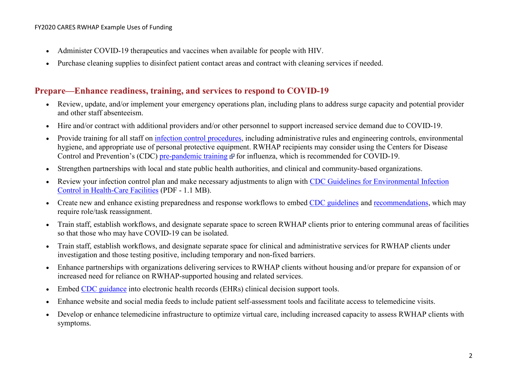- Administer COVID-19 therapeutics and vaccines when available for people with HIV.
- Purchase cleaning supplies to disinfect patient contact areas and contract with cleaning services if needed.

## **Prepare—Enhance readiness, training, and services to respond to COVID-19**

- • Review, update, and/or implement your emergency operations plan, including plans to address surge capacity and potential provider and other staff absenteeism.
- Hire and/or contract with additional providers and/or other personnel to support increased service demand due to COVID-19.
- hygiene, and appropriate use of personal protective equipment. RWHAP recipients may consider using the Centers for Disease hygiene, and appropriate use of personal protective equipment. RWHAP recipients may consider using the Cent<br>Control and Prevention's (CDC) <u>pre-pandemic training</u> [@](https://bphc.hrsa.gov/hrsaexitdisclaimer.html) for influenza, which is recommended for COVID-19. • Provide training for all staff on [infection control procedures,](https://www.cdc.gov/coronavirus/2019-ncov/infection-control/control-recommendations.html?CDC_AA_refVal=https%3A%2F%2Fwww.cdc.gov%2Fcoronavirus%2F2019-ncov%2Fhcp%2Finfection-control.html) including administrative rules and engineering controls, environmental
- Strengthen partnerships with local and state public health authorities, and clinical and community-based organizations.
- Review your infection control plan and make necessary adjustments to align with CDC Guidelines for Environmental Infection [Control in Health-Care Facilities](https://www.cdc.gov/mmwr/PDF/rr/rr5210.pdf) (PDF - 1.1 MB).
- Create new and enhance existing preparedness and response workflows to embed [CDC guidelines](https://www.cdc.gov/coronavirus/2019-ncov/healthcare-facilities/guidance-hcf.html) and [recommendations,](https://www.cdc.gov/coronavirus/2019-ncov/healthcare-facilities/steps-to-prepare.html) which may require role/task reassignment.
- Train staff, establish workflows, and designate separate space to screen RWHAP clients prior to entering communal areas of facilities so that those who may have COVID-19 can be isolated.
- Train staff, establish workflows, and designate separate space for clinical and administrative services for RWHAP clients under investigation and those testing positive, including temporary and non-fixed barriers.
- Enhance partnerships with organizations delivering services to RWHAP clients without housing and/or prepare for expansion of or increased need for reliance on RWHAP-supported housing and related services.
- Embed [CDC guidance](https://www.cdc.gov/coronavirus/2019-ncov/healthcare-facilities/guidance-hcf.html) into electronic health records (EHRs) clinical decision support tools.
- Enhance website and social media feeds to include patient self-assessment tools and facilitate access to telemedicine visits.
- Develop or enhance telemedicine infrastructure to optimize virtual care, including increased capacity to assess RWHAP clients with symptoms.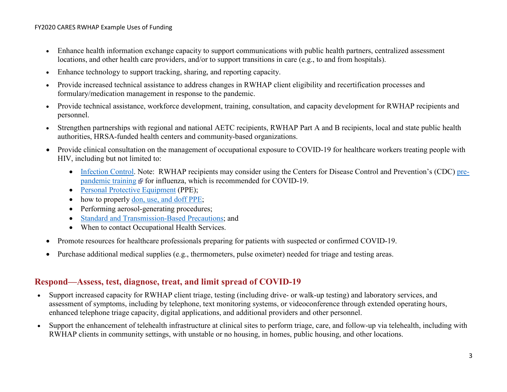- Enhance health information exchange capacity to support communications with public health partners, centralized assessment locations, and other health care providers, and/or to support transitions in care (e.g., to and from hospitals).
- Enhance technology to support tracking, sharing, and reporting capacity.
- • Provide increased technical assistance to address changes in RWHAP client eligibility and recertification processes and formulary/medication management in response to the pandemic.
- Provide technical assistance, workforce development, training, consultation, and capacity development for RWHAP recipients and personnel.
- Strengthen partnerships with regional and national AETC recipients, RWHAP Part A and B recipients, local and state public health authorities, HRSA-funded health centers and community-based organizations.
- Provide clinical consultation on the management of occupational exposure to COVID-19 for healthcare workers treating people with HIV, including but not limited to:
	- **•** [Infection Control.](https://www.cdc.gov/mmwr/PDF/rr/rr5210.pdf) Note: RWHAP recipients may consider using the Centers for Disease Control and Prevention's (CDC) [pre](https://www.train.org/cdctrain/course/1051645/)[pandemic training](https://www.train.org/cdctrain/course/1051645/)  $\mathbb{F}$  for influenza, which is recommended for COVID-19.
	- [Personal Protective Equipment](https://www.cdc.gov/coronavirus/2019-ncov/hcp/ppe-strategy/) (PPE);
	- how to properly [don, use, and doff PPE;](https://www.cdc.gov/hai/pdfs/ppe/PPE-Sequence.pdf)
	- Performing aerosol-generating procedures;
	- [Standard and Transmission-Based Precautions;](https://www.cdc.gov/coronavirus/2019-ncov/infection-control/control-recommendations.html) and
	- When to contact Occupational Health Services.
- Promote resources for healthcare professionals preparing for patients with suspected or confirmed COVID-19.
- Purchase additional medical supplies (e.g., thermometers, pulse oximeter) needed for triage and testing areas.

## **Respond—Assess, test, diagnose, treat, and limit spread of COVID-19**

- Support increased capacity for RWHAP client triage, testing (including drive- or walk-up testing) and laboratory services, and assessment of symptoms, including by telephone, text monitoring systems, or videoconference through extended operating hours, enhanced telephone triage capacity, digital applications, and additional providers and other personnel.
- Support the enhancement of telehealth infrastructure at clinical sites to perform triage, care, and follow-up via telehealth, including with RWHAP clients in community settings, with unstable or no housing, in homes, public housing, and other locations.